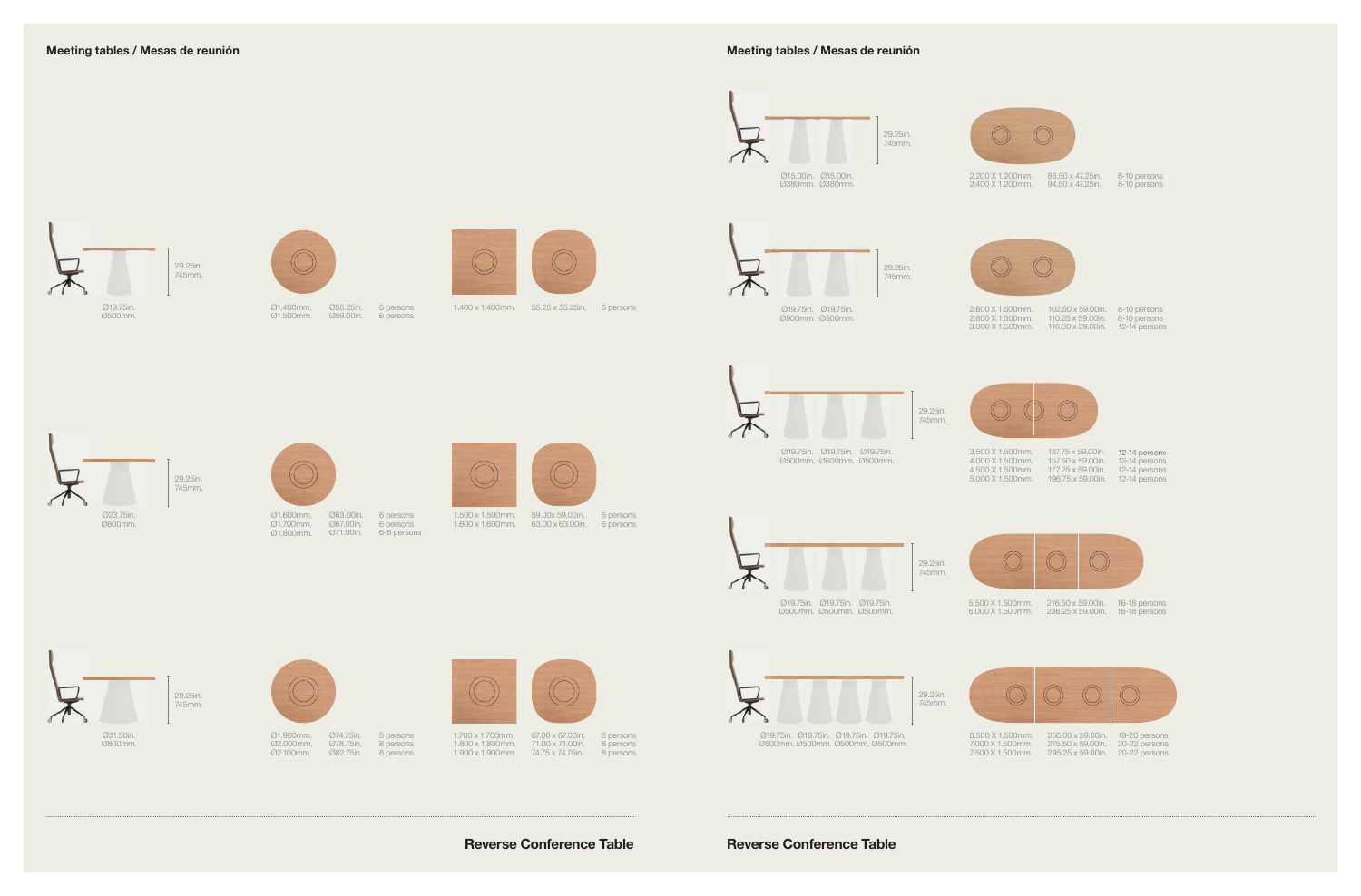

6 persons 1.400 x 1.400mm. 55.25 x 55.25in. 6 persons

1.600 x 1.600mm. 63.00 x 63.00in.





Ø1.500mm.

Ø55.25in.

Ø59.00in. 6 persons



6 persons

6 persons 6 persons 6-8 persons

Ø1.600mm. Ø1.700mm. Ø1.800mm. Ø63.00in. Ø67.00in. Ø71.00in.

Meeting tables / Mesas de reunión Meeting tables / Mesas de reunión







Ø31.50in. Ø800mm.

8 persons





Reverse Conference Table Reverse Conference Table



67.00 x 67.00in. 71.00 x 71.00in.







1.700 x 1.700mm. 1.800 x 1.800mm. 1.900 x 1.900mm.



74.75 x 74.75in.



Ø1.900mm. Ø2.000mm. Ø2.100mm. Ø74.75in. Ø78.75in. Ø82.75in.

8-10 persons 8-10 persons



2.200 X 1.200mm. 86.50 x 47.25in. 2.400 X 1.200mm. 94.50 x 47.25in.

8-10 persons 8-10 persons 12-14 persons



102.50 x 59.00in. 110.25 x 59.00in. 118.00 x 59.00in.





Ø500mm. Ø500mm.

29.25in. 745mm.

2.600 X 1.500mm. 2.800 X 1.500mm. 3.000 X 1.500mm.



| 137.75 x 59.00in.         | 12-14 persons |
|---------------------------|---------------|
| $157.50 \times 59.00$ in. | 12-14 persons |
| $177.25 \times 59.00$ in. | 12-14 persons |
| 196.75 x 59.00in.         | 12-14 persons |



295.25 x 59.00in. 20-22 persons



3.500 X 1.500mm. 4.000 X 1.500mm. 4.500 X 1.500mm. 5.000 X 1.500mm. 196.75 x 59.00in.



16-18 persons 16-18 persons 5.500 X 1.500mm. 6.000 X 1.500mm. 216.50 x 59.00in. 236.25 x 59.00in.



Ø500mm. Ø500mm. Ø500mm.



18-20 persons 20-22 persons 6.500 X 1.500mm. 7.000 X 1.500mm. 256.00 x 59.00in. 275.50 x 59.00in. 7.500 X 1.500mm.

Ø19.75in. Ø19.75in. Ø19.75in. Ø19.75in. Ø500mm. Ø500mm. Ø500mm. Ø500mm. 29.25in. 745mm.